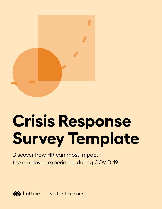

## **Crisis Response Survey Template**

Discover how HR can most impact the employee experience during COVID-19

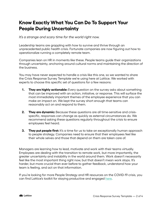## **Know Exactly What You Can Do To Support Your People During Uncertainty**

*It's a strange and scary time for the world right now.*

Leadership teams are grappling with how to survive and thrive through an unprecedented public health crisis. Fortunate companies are now figuring out how to operationalize running a completely remote team.

Companies lean on HR in moments like these. People teams guide their organizations through uncertainty, anchoring around cultural norms and maintaining the direction of the business.

You may have never expected to handle a crisis like this one, so we wanted to share the Crisis Response Survey Template we're using here at Lattice. We worked with experts to choose this specific set of questions for a few reasons:

- **1. They are highly actionable:** Every question on the survey asks about something that can be improved with an action, initiative, or response. This will surface the most immediately important themes of the employee experience that you can make an impact on. We kept the survey short enough that teams can reasonably act on and respond to them.
- **2. They are dynamic:** Because these questions are all time-sensitive and crisisspecific, responses can change as quickly as external circumstances do. We recommend asking these questions regularly throughout the crisis to ensure employees feel heard.
- **3. They put people first:** It's a time for us to take an exceptionally human approach to people strategy. Companies need to ensure that their employees feel like their whole selves and those that depend on them are taken care of.

Managers are learning how to lead, motivate and work with their teams virtually. Employees are dealing with the transition to remote work, but more importantly, the greater uncertainty and instability in the world around them. Work doesn't necessarily feel like the most important thing right now, but that doesn't mean work stops. It's harder, but more crucial than ever before to gather feedback, understand how your team is feeling, and act on that information.

If you're looking for more People Strategy and HR resources on the COVID-19 crisis, you can find Lattice's toolkit for staying productive and engaged [here.](https://lattice.com/library/hrs-remote-work-toolkit)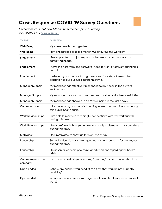## **Crisis Response: COVID-19 Survey Questions**

*Find out more about how HR can help their employees during COVID-19 at the [Lattice Toolkit](https://lattice.com/library/hrs-remote-work-toolkit).*

| <b>THEME</b>                 | <b>QUESTION</b>                                                                                                  |
|------------------------------|------------------------------------------------------------------------------------------------------------------|
| Well-Being                   | My stress level is manageable                                                                                    |
| <b>Well-Being</b>            | I am encouraged to take time for myself during the workday                                                       |
| Enablement                   | I feel supported to adjust my work schedule to accommodate my<br>caregiving needs.                               |
| Enablement                   | I have the hardware and software I need to work effectively during this<br>period.                               |
| Enablement                   | I believe my company is taking the appropriate steps to minimize<br>disruption to our business during this time. |
| <b>Manager Support</b>       | My manager has effectively responded to my needs in the current<br>environment.                                  |
| <b>Manager Support</b>       | My manager clearly communicates team and individual responsibilities.                                            |
| <b>Manager Support</b>       | My manager has checked in on my wellbeing in the last 7 days.                                                    |
| Communication                | I like the way my company is handling internal communications during<br>this public health crisis.               |
| <b>Work Relationships</b>    | I am able to maintain meaningful connections with my work friends<br>during this time.                           |
| <b>Work Relationships</b>    | I feel comfortable bringing up work-related problems with my coworkers<br>during this time.                      |
| Motivation                   | I feel motivated to show up for work every day.                                                                  |
| Leadership                   | Senior leadership has shown genuine care and concern for employees<br>during this time.                          |
| Leadership                   | I trust senior leadership to make good decisions regarding the health<br>crisis.                                 |
| Commitment to the<br>company | I am proud to tell others about my Company's actions during this time.                                           |
| Open-ended                   | Is there any support you need at this time that you are not currently<br>receiving?                              |
| Open-ended                   | What do you wish senior management knew about your experience at<br>work?                                        |